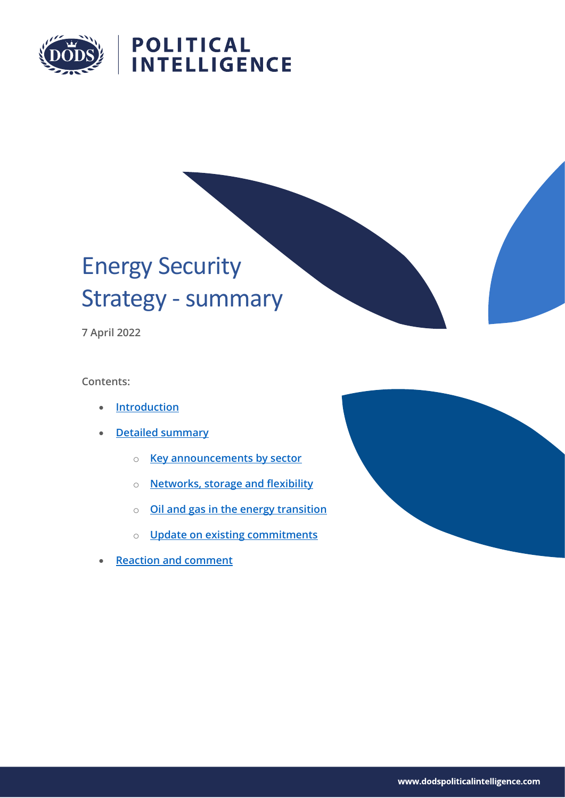

# **POLITICAL<br>INTELLIGENCE**

# Energy Security Strategy - summary

**7 April 2022**

**Contents:**

- **[Introduction](#page-1-0)**
- **[Detailed summary](#page-2-0)**
	- o **[Key announcements by sector](#page-2-1)**
	- o **[Networks, storage and flexibility](#page-4-0)**
	- o **[Oil and gas in the energy transition](#page-5-0)**
	- o **[Update on existing commitments](#page-5-1)**
- **[Reaction and comment](#page-7-0)**

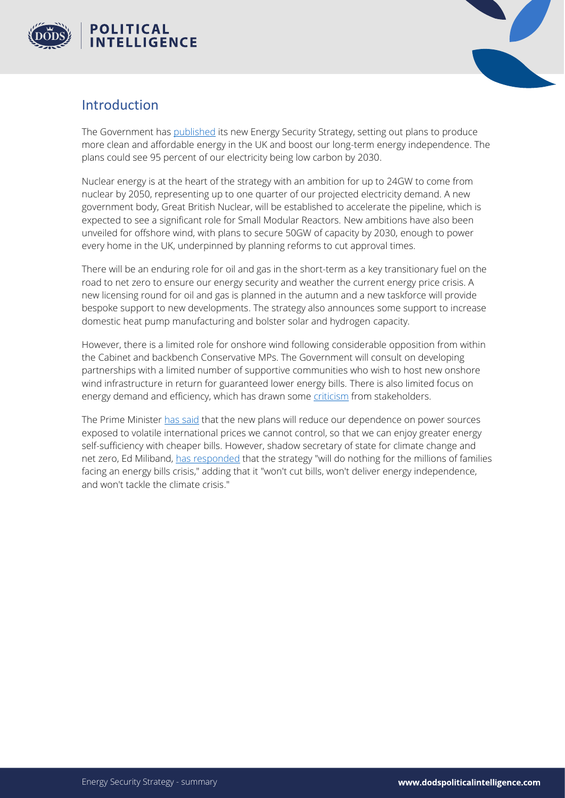



### <span id="page-1-0"></span>Introduction

The Government has [published](https://www.gov.uk/government/publications/british-energy-security-strategy/british-energy-security-strategy) its new Energy Security Strategy, setting out plans to produce more clean and affordable energy in the UK and boost our long-term energy independence. The plans could see 95 percent of our electricity being low carbon by 2030.

Nuclear energy is at the heart of the strategy with an ambition for up to 24GW to come from nuclear by 2050, representing up to one quarter of our projected electricity demand. A new government body, Great British Nuclear, will be established to accelerate the pipeline, which is expected to see a significant role for Small Modular Reactors. New ambitions have also been unveiled for offshore wind, with plans to secure 50GW of capacity by 2030, enough to power every home in the UK, underpinned by planning reforms to cut approval times.

There will be an enduring role for oil and gas in the short-term as a key transitionary fuel on the road to net zero to ensure our energy security and weather the current energy price crisis. A new licensing round for oil and gas is planned in the autumn and a new taskforce will provide bespoke support to new developments. The strategy also announces some support to increase domestic heat pump manufacturing and bolster solar and hydrogen capacity.

However, there is a limited role for onshore wind following considerable opposition from within the Cabinet and backbench Conservative MPs. The Government will consult on developing partnerships with a limited number of supportive communities who wish to host new onshore wind infrastructure in return for guaranteed lower energy bills. There is also limited focus on energy demand and efficiency, which has drawn some [criticism](https://app.dodsinformation.com/ui/app/index.html#/document/view/d75d6aafc7d748168508a29d83b09018) from stakeholders.

The Prime Minister [has said](https://www.gov.uk/government/news/major-acceleration-of-homegrown-power-in-britains-plan-for-greater-energy-independence) that the new plans will reduce our dependence on power sources exposed to volatile international prices we cannot control, so that we can enjoy greater energy self-sufficiency with cheaper bills. However, shadow secretary of state for climate change and net zero, Ed Miliband, has [responded](https://app.dodsinformation.com/ui/app/index.html#/document/view/2e69cf72e80a4841abd0ec2b0b241ac9) that the strategy "will do nothing for the millions of families facing an energy bills crisis," adding that it "won't cut bills, won't deliver energy independence, and won't tackle the climate crisis."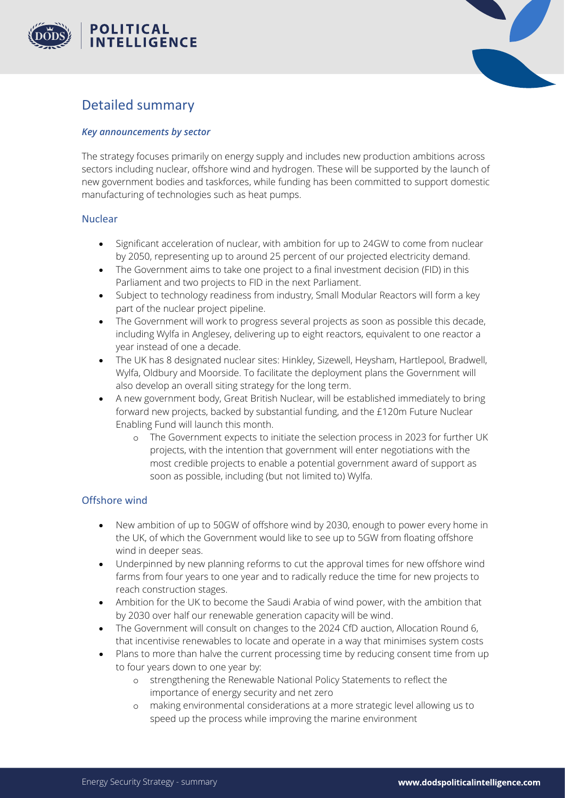



# <span id="page-2-0"></span>Detailed summary

#### <span id="page-2-1"></span>*Key announcements by sector*

The strategy focuses primarily on energy supply and includes new production ambitions across sectors including nuclear, offshore wind and hydrogen. These will be supported by the launch of new government bodies and taskforces, while funding has been committed to support domestic manufacturing of technologies such as heat pumps.

#### Nuclear

- Significant acceleration of nuclear, with ambition for up to 24GW to come from nuclear by 2050, representing up to around 25 percent of our projected electricity demand.
- The Government aims to take one project to a final investment decision (FID) in this Parliament and two projects to FID in the next Parliament.
- Subject to technology readiness from industry, Small Modular Reactors will form a key part of the nuclear project pipeline.
- The Government will work to progress several projects as soon as possible this decade, including Wylfa in Anglesey, delivering up to eight reactors, equivalent to one reactor a year instead of one a decade.
- The UK has 8 designated nuclear sites: Hinkley, Sizewell, Heysham, Hartlepool, Bradwell, Wylfa, Oldbury and Moorside. To facilitate the deployment plans the Government will also develop an overall siting strategy for the long term.
- A new government body, Great British Nuclear, will be established immediately to bring forward new projects, backed by substantial funding, and the £120m Future Nuclear Enabling Fund will launch this month.
	- o The Government expects to initiate the selection process in 2023 for further UK projects, with the intention that government will enter negotiations with the most credible projects to enable a potential government award of support as soon as possible, including (but not limited to) Wylfa.

#### Offshore wind

- New ambition of up to 50GW of offshore wind by 2030, enough to power every home in the UK, of which the Government would like to see up to 5GW from floating offshore wind in deeper seas.
- Underpinned by new planning reforms to cut the approval times for new offshore wind farms from four years to one year and to radically reduce the time for new projects to reach construction stages.
- Ambition for the UK to become the Saudi Arabia of wind power, with the ambition that by 2030 over half our renewable generation capacity will be wind.
- The Government will consult on changes to the 2024 CfD auction, Allocation Round 6, that incentivise renewables to locate and operate in a way that minimises system costs
- Plans to more than halve the current processing time by reducing consent time from up to four years down to one year by:
	- o strengthening the Renewable National Policy Statements to reflect the importance of energy security and net zero
	- o making environmental considerations at a more strategic level allowing us to speed up the process while improving the marine environment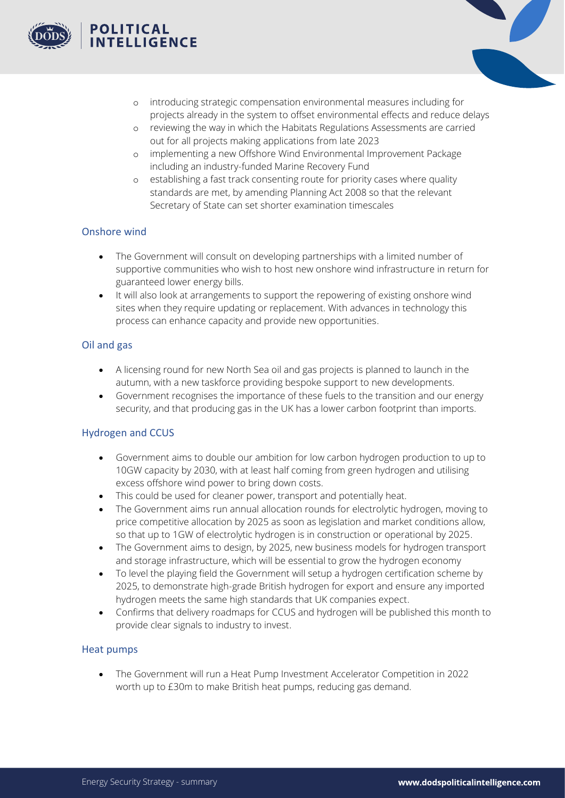



- o introducing strategic compensation environmental measures including for projects already in the system to offset environmental effects and reduce delays
- o reviewing the way in which the Habitats Regulations Assessments are carried out for all projects making applications from late 2023
- o implementing a new Offshore Wind Environmental Improvement Package including an industry-funded Marine Recovery Fund
- o establishing a fast track consenting route for priority cases where quality standards are met, by amending Planning Act 2008 so that the relevant Secretary of State can set shorter examination timescales

#### Onshore wind

- The Government will consult on developing partnerships with a limited number of supportive communities who wish to host new onshore wind infrastructure in return for guaranteed lower energy bills.
- It will also look at arrangements to support the repowering of existing onshore wind sites when they require updating or replacement. With advances in technology this process can enhance capacity and provide new opportunities.

#### Oil and gas

- A licensing round for new North Sea oil and gas projects is planned to launch in the autumn, with a new taskforce providing bespoke support to new developments.
- Government recognises the importance of these fuels to the transition and our energy security, and that producing gas in the UK has a lower carbon footprint than imports.

#### Hydrogen and CCUS

- Government aims to double our ambition for low carbon hydrogen production to up to 10GW capacity by 2030, with at least half coming from green hydrogen and utilising excess offshore wind power to bring down costs.
- This could be used for cleaner power, transport and potentially heat.
- The Government aims run annual allocation rounds for electrolytic hydrogen, moving to price competitive allocation by 2025 as soon as legislation and market conditions allow, so that up to 1GW of electrolytic hydrogen is in construction or operational by 2025.
- The Government aims to design, by 2025, new business models for hydrogen transport and storage infrastructure, which will be essential to grow the hydrogen economy
- To level the playing field the Government will setup a hydrogen certification scheme by 2025, to demonstrate high-grade British hydrogen for export and ensure any imported hydrogen meets the same high standards that UK companies expect.
- Confirms that delivery roadmaps for CCUS and hydrogen will be published this month to provide clear signals to industry to invest.

#### Heat pumps

• The Government will run a Heat Pump Investment Accelerator Competition in 2022 worth up to £30m to make British heat pumps, reducing gas demand.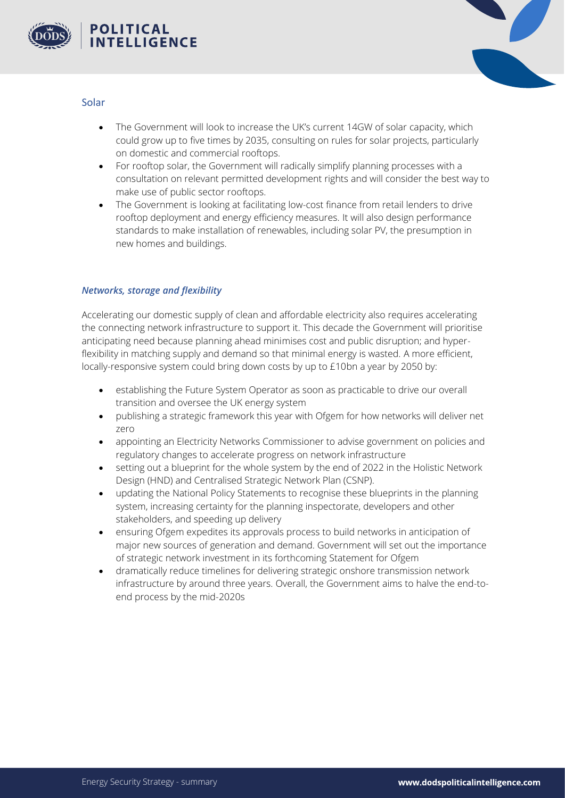



#### Solar

- The Government will look to increase the UK's current 14GW of solar capacity, which could grow up to five times by 2035, consulting on rules for solar projects, particularly on domestic and commercial rooftops.
- For rooftop solar, the Government will radically simplify planning processes with a consultation on relevant permitted development rights and will consider the best way to make use of public sector rooftops.
- The Government is looking at facilitating low-cost finance from retail lenders to drive rooftop deployment and energy efficiency measures. It will also design performance standards to make installation of renewables, including solar PV, the presumption in new homes and buildings.

#### <span id="page-4-0"></span>*Networks, storage and flexibility*

Accelerating our domestic supply of clean and affordable electricity also requires accelerating the connecting network infrastructure to support it. This decade the Government will prioritise anticipating need because planning ahead minimises cost and public disruption; and hyperflexibility in matching supply and demand so that minimal energy is wasted. A more efficient, locally-responsive system could bring down costs by up to £10bn a year by 2050 by:

- establishing the Future System Operator as soon as practicable to drive our overall transition and oversee the UK energy system
- publishing a strategic framework this year with Ofgem for how networks will deliver net zero
- appointing an Electricity Networks Commissioner to advise government on policies and regulatory changes to accelerate progress on network infrastructure
- setting out a blueprint for the whole system by the end of 2022 in the Holistic Network Design (HND) and Centralised Strategic Network Plan (CSNP).
- updating the National Policy Statements to recognise these blueprints in the planning system, increasing certainty for the planning inspectorate, developers and other stakeholders, and speeding up delivery
- ensuring Ofgem expedites its approvals process to build networks in anticipation of major new sources of generation and demand. Government will set out the importance of strategic network investment in its forthcoming Statement for Ofgem
- dramatically reduce timelines for delivering strategic onshore transmission network infrastructure by around three years. Overall, the Government aims to halve the end-toend process by the mid-2020s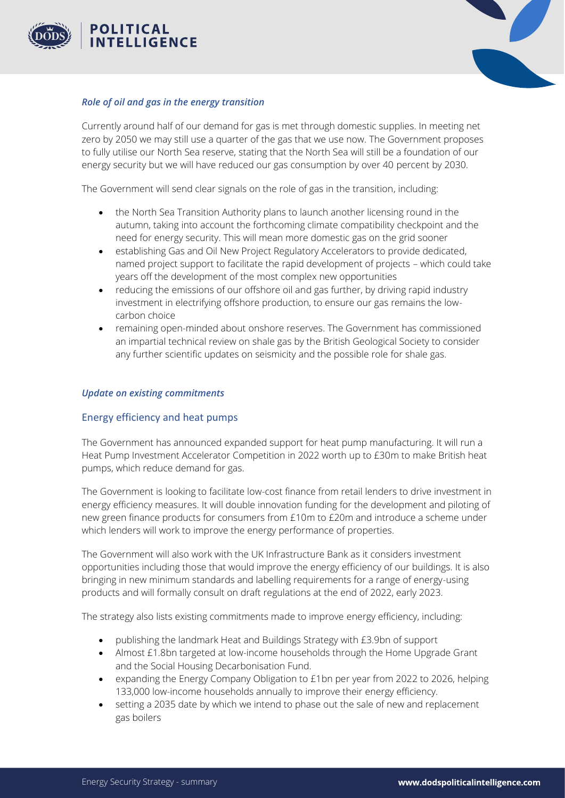



#### <span id="page-5-0"></span>*Role of oil and gas in the energy transition*

Currently around half of our demand for gas is met through domestic supplies. In meeting net zero by 2050 we may still use a quarter of the gas that we use now. The Government proposes to fully utilise our North Sea reserve, stating that the North Sea will still be a foundation of our energy security but we will have reduced our gas consumption by over 40 percent by 2030.

The Government will send clear signals on the role of gas in the transition, including:

- the North Sea Transition Authority plans to launch another licensing round in the autumn, taking into account the forthcoming climate compatibility checkpoint and the need for energy security. This will mean more domestic gas on the grid sooner
- establishing Gas and Oil New Project Regulatory Accelerators to provide dedicated, named project support to facilitate the rapid development of projects – which could take years off the development of the most complex new opportunities
- reducing the emissions of our offshore oil and gas further, by driving rapid industry investment in electrifying offshore production, to ensure our gas remains the lowcarbon choice
- remaining open-minded about onshore reserves. The Government has commissioned an impartial technical review on shale gas by the British Geological Society to consider any further scientific updates on seismicity and the possible role for shale gas.

#### <span id="page-5-1"></span>*Update on existing commitments*

#### Energy efficiency and heat pumps

The Government has announced expanded support for heat pump manufacturing. It will run a Heat Pump Investment Accelerator Competition in 2022 worth up to £30m to make British heat pumps, which reduce demand for gas.

The Government is looking to facilitate low-cost finance from retail lenders to drive investment in energy efficiency measures. It will double innovation funding for the development and piloting of new green finance products for consumers from £10m to £20m and introduce a scheme under which lenders will work to improve the energy performance of properties.

The Government will also work with the UK Infrastructure Bank as it considers investment opportunities including those that would improve the energy efficiency of our buildings. It is also bringing in new minimum standards and labelling requirements for a range of energy-using products and will formally consult on draft regulations at the end of 2022, early 2023.

The strategy also lists existing commitments made to improve energy efficiency, including:

- publishing the landmark Heat and Buildings Strategy with £3.9bn of support
- Almost £1.8bn targeted at low-income households through the Home Upgrade Grant and the Social Housing Decarbonisation Fund.
- expanding the Energy Company Obligation to £1bn per year from 2022 to 2026, helping 133,000 low-income households annually to improve their energy efficiency.
- setting a 2035 date by which we intend to phase out the sale of new and replacement gas boilers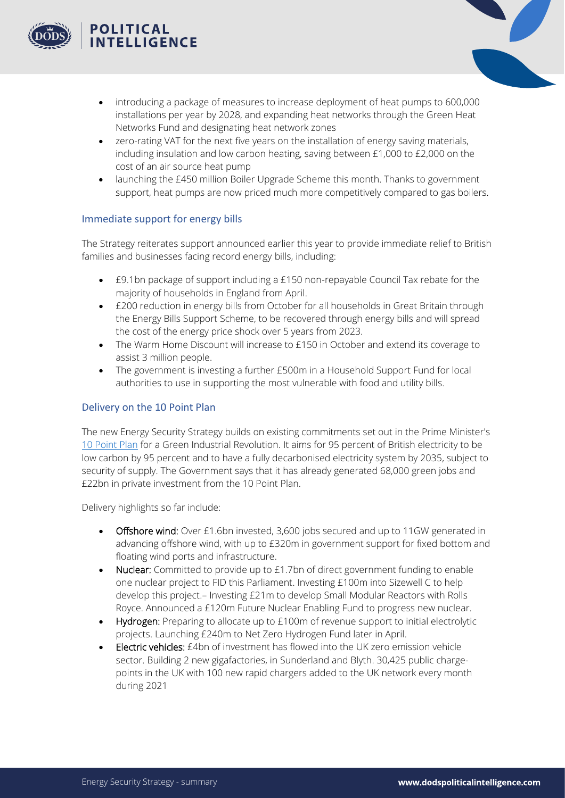



- introducing a package of measures to increase deployment of heat pumps to 600,000 installations per year by 2028, and expanding heat networks through the Green Heat Networks Fund and designating heat network zones
- zero-rating VAT for the next five years on the installation of energy saving materials, including insulation and low carbon heating, saving between £1,000 to £2,000 on the cost of an air source heat pump
- launching the £450 million Boiler Upgrade Scheme this month. Thanks to government support, heat pumps are now priced much more competitively compared to gas boilers.

#### Immediate support for energy bills

The Strategy reiterates support announced earlier this year to provide immediate relief to British families and businesses facing record energy bills, including:

- £9.1bn package of support including a £150 non-repayable Council Tax rebate for the majority of households in England from April.
- £200 reduction in energy bills from October for all households in Great Britain through the Energy Bills Support Scheme, to be recovered through energy bills and will spread the cost of the energy price shock over 5 years from 2023.
- The Warm Home Discount will increase to £150 in October and extend its coverage to assist 3 million people.
- The government is investing a further £500m in a Household Support Fund for local authorities to use in supporting the most vulnerable with food and utility bills.

#### Delivery on the 10 Point Plan

The new Energy Security Strategy builds on existing commitments set out in the Prime Minister's [10 Point Plan](https://www.gov.uk/government/publications/the-ten-point-plan-for-a-green-industrial-revolution) for a Green Industrial Revolution. It aims for 95 percent of British electricity to be low carbon by 95 percent and to have a fully decarbonised electricity system by 2035, subject to security of supply. The Government says that it has already generated 68,000 green jobs and £22bn in private investment from the 10 Point Plan.

Delivery highlights so far include:

- Offshore wind: Over £1.6bn invested, 3,600 jobs secured and up to 11GW generated in advancing offshore wind, with up to £320m in government support for fixed bottom and floating wind ports and infrastructure.
- Nuclear: Committed to provide up to £1.7bn of direct government funding to enable one nuclear project to FID this Parliament. Investing £100m into Sizewell C to help develop this project.– Investing £21m to develop Small Modular Reactors with Rolls Royce. Announced a £120m Future Nuclear Enabling Fund to progress new nuclear.
- Hydrogen: Preparing to allocate up to £100m of revenue support to initial electrolytic projects. Launching £240m to Net Zero Hydrogen Fund later in April.
- Electric vehicles: £4bn of investment has flowed into the UK zero emission vehicle sector. Building 2 new gigafactories, in Sunderland and Blyth. 30,425 public chargepoints in the UK with 100 new rapid chargers added to the UK network every month during 2021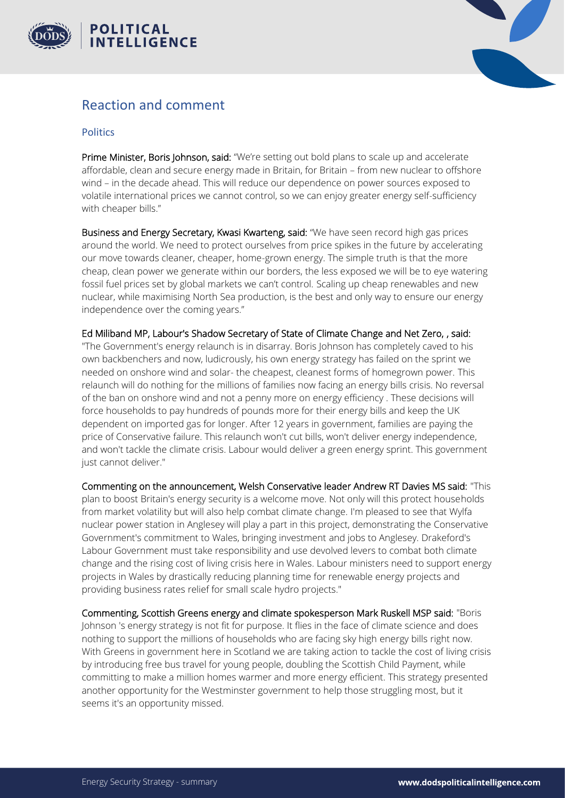



## <span id="page-7-0"></span>Reaction and comment

#### Politics

Prime Minister, Boris Johnson, said: "We're setting out bold plans to scale up and accelerate affordable, clean and secure energy made in Britain, for Britain – from new nuclear to offshore wind – in the decade ahead. This will reduce our dependence on power sources exposed to volatile international prices we cannot control, so we can enjoy greater energy self-sufficiency with cheaper bills."

Business and Energy Secretary, Kwasi Kwarteng, said: "We have seen record high gas prices around the world. We need to protect ourselves from price spikes in the future by accelerating our move towards cleaner, cheaper, home-grown energy. The simple truth is that the more cheap, clean power we generate within our borders, the less exposed we will be to eye watering fossil fuel prices set by global markets we can't control. Scaling up cheap renewables and new nuclear, while maximising North Sea production, is the best and only way to ensure our energy independence over the coming years."

Ed Miliband MP, Labour's Shadow Secretary of State of Climate Change and Net Zero, , said: "The Government's energy relaunch is in disarray. Boris Johnson has completely caved to his own backbenchers and now, ludicrously, his own energy strategy has failed on the sprint we needed on onshore wind and solar- the cheapest, cleanest forms of homegrown power. This relaunch will do nothing for the millions of families now facing an energy bills crisis. No reversal of the ban on onshore wind and not a penny more on energy efficiency . These decisions will force households to pay hundreds of pounds more for their energy bills and keep the UK dependent on imported gas for longer. After 12 years in government, families are paying the price of Conservative failure. This relaunch won't cut bills, won't deliver energy independence, and won't tackle the climate crisis. Labour would deliver a green energy sprint. This government just cannot deliver."

Commenting on the announcement, Welsh Conservative leader Andrew RT Davies MS said: "This plan to boost Britain's energy security is a welcome move. Not only will this protect households from market volatility but will also help combat climate change. I'm pleased to see that Wylfa nuclear power station in Anglesey will play a part in this project, demonstrating the Conservative Government's commitment to Wales, bringing investment and jobs to Anglesey. Drakeford's Labour Government must take responsibility and use devolved levers to combat both climate change and the rising cost of living crisis here in Wales. Labour ministers need to support energy projects in Wales by drastically reducing planning time for renewable energy projects and providing business rates relief for small scale hydro projects."

Commenting, Scottish Greens energy and climate spokesperson Mark Ruskell MSP said: "Boris Johnson 's energy strategy is not fit for purpose. It flies in the face of climate science and does nothing to support the millions of households who are facing sky high energy bills right now. With Greens in government here in Scotland we are taking action to tackle the cost of living crisis by introducing free bus travel for young people, doubling the Scottish Child Payment, while committing to make a million homes warmer and more energy efficient. This strategy presented another opportunity for the Westminster government to help those struggling most, but it seems it's an opportunity missed.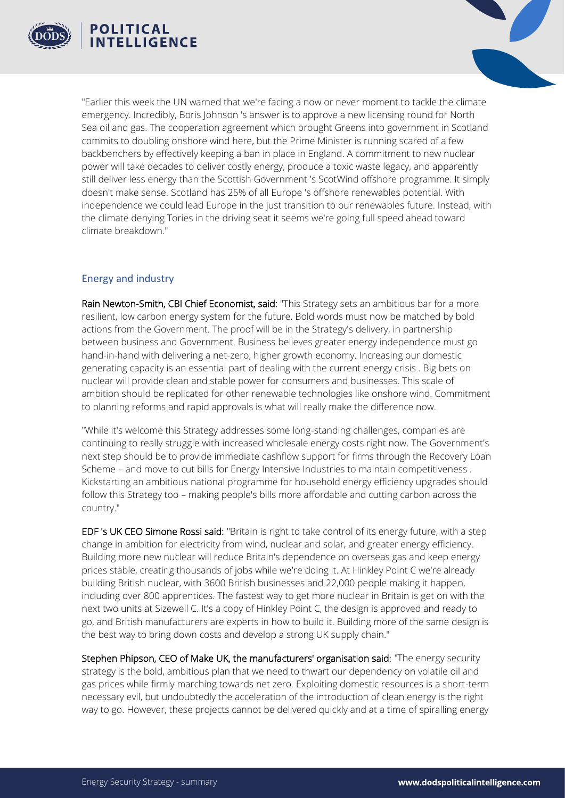



"Earlier this week the UN warned that we're facing a now or never moment to tackle the climate emergency. Incredibly, Boris Johnson 's answer is to approve a new licensing round for North Sea oil and gas. The cooperation agreement which brought Greens into government in Scotland commits to doubling onshore wind here, but the Prime Minister is running scared of a few backbenchers by effectively keeping a ban in place in England. A commitment to new nuclear power will take decades to deliver costly energy, produce a toxic waste legacy, and apparently still deliver less energy than the Scottish Government 's ScotWind offshore programme. It simply doesn't make sense. Scotland has 25% of all Europe 's offshore renewables potential. With independence we could lead Europe in the just transition to our renewables future. Instead, with the climate denying Tories in the driving seat it seems we're going full speed ahead toward climate breakdown."

#### Energy and industry

Rain Newton-Smith, CBI Chief Economist, said: "This Strategy sets an ambitious bar for a more resilient, low carbon energy system for the future. Bold words must now be matched by bold actions from the Government. The proof will be in the Strategy's delivery, in partnership between business and Government. Business believes greater energy independence must go hand-in-hand with delivering a net-zero, higher growth economy. Increasing our domestic generating capacity is an essential part of dealing with the current energy crisis . Big bets on nuclear will provide clean and stable power for consumers and businesses. This scale of ambition should be replicated for other renewable technologies like onshore wind. Commitment to planning reforms and rapid approvals is what will really make the difference now.

"While it's welcome this Strategy addresses some long-standing challenges, companies are continuing to really struggle with increased wholesale energy costs right now. The Government's next step should be to provide immediate cashflow support for firms through the Recovery Loan Scheme – and move to cut bills for Energy Intensive Industries to maintain competitiveness . Kickstarting an ambitious national programme for household energy efficiency upgrades should follow this Strategy too – making people's bills more affordable and cutting carbon across the country."

EDF 's UK CEO Simone Rossi said: "Britain is right to take control of its energy future, with a step change in ambition for electricity from wind, nuclear and solar, and greater energy efficiency. Building more new nuclear will reduce Britain's dependence on overseas gas and keep energy prices stable, creating thousands of jobs while we're doing it. At Hinkley Point C we're already building British nuclear, with 3600 British businesses and 22,000 people making it happen, including over 800 apprentices. The fastest way to get more nuclear in Britain is get on with the next two units at Sizewell C. It's a copy of Hinkley Point C, the design is approved and ready to go, and British manufacturers are experts in how to build it. Building more of the same design is the best way to bring down costs and develop a strong UK supply chain."

Stephen Phipson, CEO of Make UK, the manufacturers' organisation said: "The energy security strategy is the bold, ambitious plan that we need to thwart our dependency on volatile oil and gas prices while firmly marching towards net zero. Exploiting domestic resources is a short-term necessary evil, but undoubtedly the acceleration of the introduction of clean energy is the right way to go. However, these projects cannot be delivered quickly and at a time of spiralling energy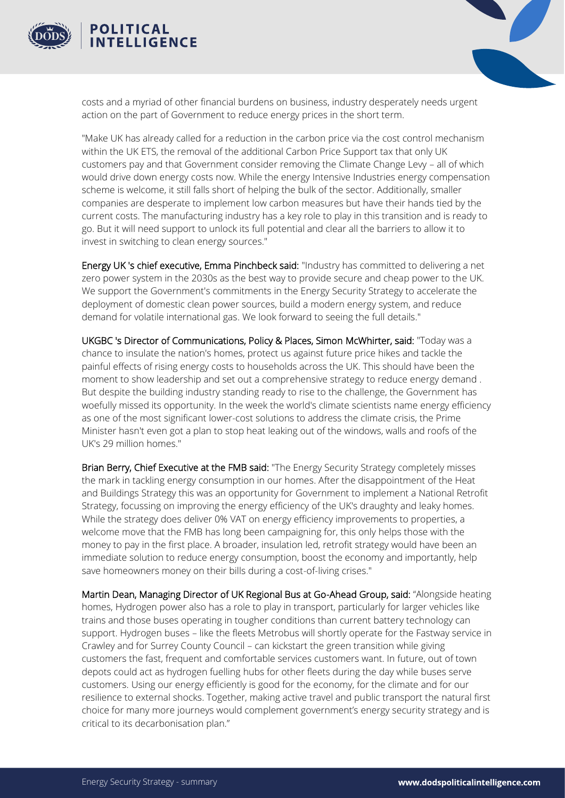



costs and a myriad of other financial burdens on business, industry desperately needs urgent action on the part of Government to reduce energy prices in the short term.

"Make UK has already called for a reduction in the carbon price via the cost control mechanism within the UK ETS, the removal of the additional Carbon Price Support tax that only UK customers pay and that Government consider removing the Climate Change Levy – all of which would drive down energy costs now. While the energy Intensive Industries energy compensation scheme is welcome, it still falls short of helping the bulk of the sector. Additionally, smaller companies are desperate to implement low carbon measures but have their hands tied by the current costs. The manufacturing industry has a key role to play in this transition and is ready to go. But it will need support to unlock its full potential and clear all the barriers to allow it to invest in switching to clean energy sources."

Energy UK 's chief executive, Emma Pinchbeck said: "Industry has committed to delivering a net zero power system in the 2030s as the best way to provide secure and cheap power to the UK. We support the Government's commitments in the Energy Security Strategy to accelerate the deployment of domestic clean power sources, build a modern energy system, and reduce demand for volatile international gas. We look forward to seeing the full details."

UKGBC 's Director of Communications, Policy & Places, Simon McWhirter, said: "Today was a chance to insulate the nation's homes, protect us against future price hikes and tackle the painful effects of rising energy costs to households across the UK. This should have been the moment to show leadership and set out a comprehensive strategy to reduce energy demand . But despite the building industry standing ready to rise to the challenge, the Government has woefully missed its opportunity. In the week the world's climate scientists name energy efficiency as one of the most significant lower-cost solutions to address the climate crisis, the Prime Minister hasn't even got a plan to stop heat leaking out of the windows, walls and roofs of the UK's 29 million homes."

Brian Berry, Chief Executive at the FMB said: "The Energy Security Strategy completely misses the mark in tackling energy consumption in our homes. After the disappointment of the Heat and Buildings Strategy this was an opportunity for Government to implement a National Retrofit Strategy, focussing on improving the energy efficiency of the UK's draughty and leaky homes. While the strategy does deliver 0% VAT on energy efficiency improvements to properties, a welcome move that the FMB has long been campaigning for, this only helps those with the money to pay in the first place. A broader, insulation led, retrofit strategy would have been an immediate solution to reduce energy consumption, boost the economy and importantly, help save homeowners money on their bills during a cost-of-living crises."

Martin Dean, Managing Director of UK Regional Bus at Go-Ahead Group, said: "Alongside heating homes, Hydrogen power also has a role to play in transport, particularly for larger vehicles like trains and those buses operating in tougher conditions than current battery technology can support. Hydrogen buses – like the fleets Metrobus will shortly operate for the Fastway service in Crawley and for Surrey County Council – can kickstart the green transition while giving customers the fast, frequent and comfortable services customers want. In future, out of town depots could act as hydrogen fuelling hubs for other fleets during the day while buses serve customers. Using our energy efficiently is good for the economy, for the climate and for our resilience to external shocks. Together, making active travel and public transport the natural first choice for many more journeys would complement government's energy security strategy and is critical to its decarbonisation plan."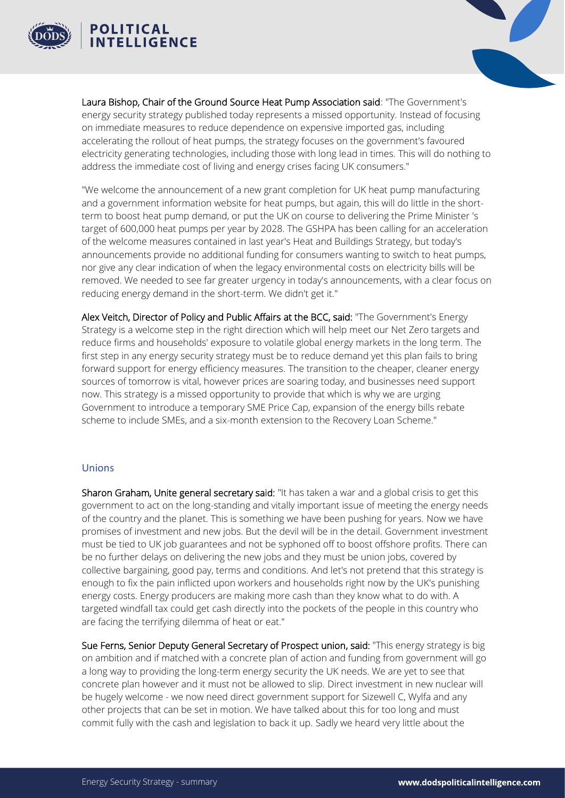



Laura Bishop, Chair of the Ground Source Heat Pump Association said: "The Government's energy security strategy published today represents a missed opportunity. Instead of focusing on immediate measures to reduce dependence on expensive imported gas, including accelerating the rollout of heat pumps, the strategy focuses on the government's favoured electricity generating technologies, including those with long lead in times. This will do nothing to address the immediate cost of living and energy crises facing UK consumers."

"We welcome the announcement of a new grant completion for UK heat pump manufacturing and a government information website for heat pumps, but again, this will do little in the shortterm to boost heat pump demand, or put the UK on course to delivering the Prime Minister 's target of 600,000 heat pumps per year by 2028. The GSHPA has been calling for an acceleration of the welcome measures contained in last year's Heat and Buildings Strategy, but today's announcements provide no additional funding for consumers wanting to switch to heat pumps, nor give any clear indication of when the legacy environmental costs on electricity bills will be removed. We needed to see far greater urgency in today's announcements, with a clear focus on reducing energy demand in the short-term. We didn't get it."

Alex Veitch, Director of Policy and Public Affairs at the BCC, said: "The Government's Energy Strategy is a welcome step in the right direction which will help meet our Net Zero targets and reduce firms and households' exposure to volatile global energy markets in the long term. The first step in any energy security strategy must be to reduce demand yet this plan fails to bring forward support for energy efficiency measures. The transition to the cheaper, cleaner energy sources of tomorrow is vital, however prices are soaring today, and businesses need support now. This strategy is a missed opportunity to provide that which is why we are urging Government to introduce a temporary SME Price Cap, expansion of the energy bills rebate scheme to include SMEs, and a six-month extension to the Recovery Loan Scheme."

#### Unions

Sharon Graham, Unite general secretary said: "It has taken a war and a global crisis to get this government to act on the long-standing and vitally important issue of meeting the energy needs of the country and the planet. This is something we have been pushing for years. Now we have promises of investment and new jobs. But the devil will be in the detail. Government investment must be tied to UK job guarantees and not be syphoned off to boost offshore profits. There can be no further delays on delivering the new jobs and they must be union jobs, covered by collective bargaining, good pay, terms and conditions. And let's not pretend that this strategy is enough to fix the pain inflicted upon workers and households right now by the UK's punishing energy costs. Energy producers are making more cash than they know what to do with. A targeted windfall tax could get cash directly into the pockets of the people in this country who are facing the terrifying dilemma of heat or eat."

Sue Ferns, Senior Deputy General Secretary of Prospect union, said: "This energy strategy is big on ambition and if matched with a concrete plan of action and funding from government will go a long way to providing the long-term energy security the UK needs. We are yet to see that concrete plan however and it must not be allowed to slip. Direct investment in new nuclear will be hugely welcome - we now need direct government support for Sizewell C, Wylfa and any other projects that can be set in motion. We have talked about this for too long and must commit fully with the cash and legislation to back it up. Sadly we heard very little about the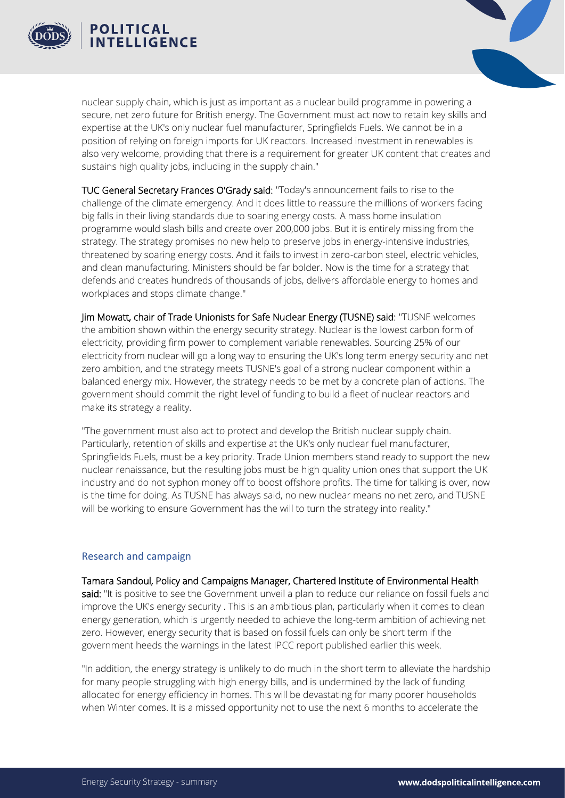



nuclear supply chain, which is just as important as a nuclear build programme in powering a secure, net zero future for British energy. The Government must act now to retain key skills and expertise at the UK's only nuclear fuel manufacturer, Springfields Fuels. We cannot be in a position of relying on foreign imports for UK reactors. Increased investment in renewables is also very welcome, providing that there is a requirement for greater UK content that creates and sustains high quality jobs, including in the supply chain."

TUC General Secretary Frances O'Grady said: "Today's announcement fails to rise to the challenge of the climate emergency. And it does little to reassure the millions of workers facing big falls in their living standards due to soaring energy costs. A mass home insulation programme would slash bills and create over 200,000 jobs. But it is entirely missing from the strategy. The strategy promises no new help to preserve jobs in energy-intensive industries, threatened by soaring energy costs. And it fails to invest in zero-carbon steel, electric vehicles, and clean manufacturing. Ministers should be far bolder. Now is the time for a strategy that defends and creates hundreds of thousands of jobs, delivers affordable energy to homes and workplaces and stops climate change."

Jim Mowatt, chair of Trade Unionists for Safe Nuclear Energy (TUSNE) said: "TUSNE welcomes the ambition shown within the energy security strategy. Nuclear is the lowest carbon form of electricity, providing firm power to complement variable renewables. Sourcing 25% of our electricity from nuclear will go a long way to ensuring the UK's long term energy security and net zero ambition, and the strategy meets TUSNE's goal of a strong nuclear component within a balanced energy mix. However, the strategy needs to be met by a concrete plan of actions. The government should commit the right level of funding to build a fleet of nuclear reactors and make its strategy a reality.

"The government must also act to protect and develop the British nuclear supply chain. Particularly, retention of skills and expertise at the UK's only nuclear fuel manufacturer, Springfields Fuels, must be a key priority. Trade Union members stand ready to support the new nuclear renaissance, but the resulting jobs must be high quality union ones that support the UK industry and do not syphon money off to boost offshore profits. The time for talking is over, now is the time for doing. As TUSNE has always said, no new nuclear means no net zero, and TUSNE will be working to ensure Government has the will to turn the strategy into reality."

#### Research and campaign

Tamara Sandoul, Policy and Campaigns Manager, Chartered Institute of Environmental Health said: "It is positive to see the Government unveil a plan to reduce our reliance on fossil fuels and improve the UK's energy security . This is an ambitious plan, particularly when it comes to clean energy generation, which is urgently needed to achieve the long-term ambition of achieving net zero. However, energy security that is based on fossil fuels can only be short term if the government heeds the warnings in the latest IPCC report published earlier this week.

"In addition, the energy strategy is unlikely to do much in the short term to alleviate the hardship for many people struggling with high energy bills, and is undermined by the lack of funding allocated for energy efficiency in homes. This will be devastating for many poorer households when Winter comes. It is a missed opportunity not to use the next 6 months to accelerate the